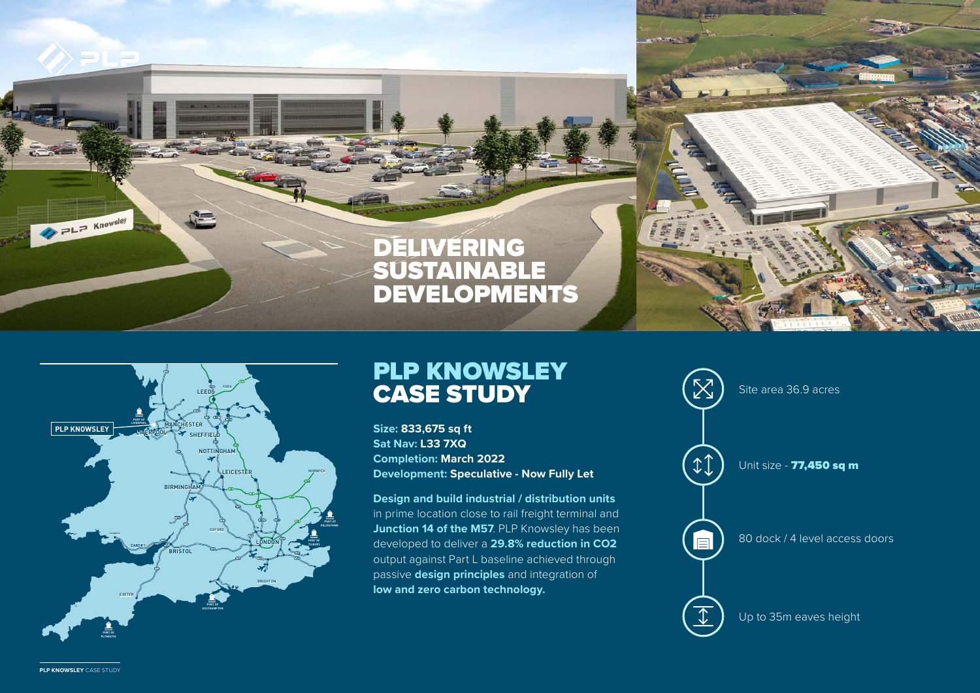



## PLP KNOWSLEY CASE STUDY

**Size: 833,675 sq ft Sat Nav: L33 7XQ Completion: March 2022 Development: Speculative - Now Fully Let** 

**Design and build industrial / distribution units** in prime location close to rail freight terminal and **Junction 14 of the M57. PLP Knowsley has been** developed to deliver a **29.8% reduction in CO2** output against Part L baseline achieved through passive **design principles** and integration of **low and zero carbon technology.**